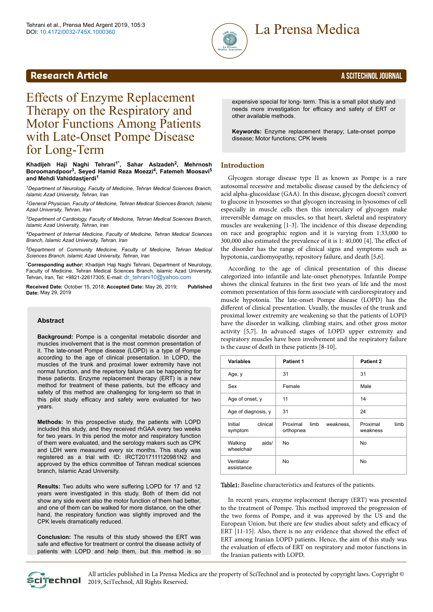

# **Research Article** A SCITECHNOL JOURNAL

# Effects of Enzyme Replacement Therapy on the Respiratory and Motor Functions Among Patients with Late-Onset Pompe Disease for Long-Term

#### **Khadijeh Haji Naghi Tehrani1\* , Sahar Aslzadeh<sup>2</sup> , Mehrnosh Boroomandpoor<sup>3</sup> , Seyed Hamid Reza Moezzi<sup>4</sup> , Fatemeh Moosavi<sup>5</sup> and Mehdi Vahiddastjerdi<sup>1</sup>**

*<sup>1</sup>Department of Neurology, Faculty of Medicine, Tehran Medical Sciences Branch, Islamic Azad University, Tehran, Iran*

*<sup>2</sup>General Physician, Faculty of Medicine, Tehran Medical Sciences Branch, Islamic Azad University, Tehran, Iran*

*<sup>3</sup>Department of Cardiology, Faculty of Medicine, Tehran Medical Sciences Branch, Islamic Azad University, Tehran, Iran*

*<sup>4</sup>Department of Internal Medicine, Faculty of Medicine, Tehran Medical Sciences Branch, Islamic Azad University, Tehran, Iran*

*<sup>5</sup>Department of Community Medicine, Faculty of Medicine, Tehran Medical Sciences Branch, Islamic Azad University, Tehran, Iran*

\***Corresponding author:** Khadijeh Haji Naghi Tehrani, Department of Neurology, Faculty of Medicine, Tehran Medical Sciences Branch, Islamic Azad University, Tehran, Iran, Tel: +9821-22617305; E-mail: [dr\\_tehrani10@yahoo.com](mailto:dr_tehrani10@yahoo.com)

**Received Date:** October 15, 2018; **Accepted Date:** May 26, 2019; **Published Date:** May 29, 2019

#### **Abstract**

**Background:** Pompe is a congenital metabolic disorder and muscles involvement that is the most common presentation of it. The late-onset Pompe disease (LOPD) is a type of Pompe according to the age of clinical presentation. In LOPD, the muscles of the trunk and proximal lower extremity have not normal function, and the repertory failure can be happening for these patients. Enzyme replacement therapy (ERT) is a new method for treatment of these patients, but the efficacy and safety of this method are challenging for long-term so that in this pilot study efficacy and safety were evaluated for two years.

**Methods:** In this prospective study, the patients with LOPD included this study, and they received rhGAA every two weeks for two years. In this period the motor and respiratory function of them were evaluated, and the serology makers such as CPK and LDH were measured every six months. This study was registered as a trial with ID: IRCT2017111120981N2 and approved by the ethics committee of Tehran medical sciences branch, Islamic Azad University.

**Results:** Two adults who were suffering LOPD for 17 and 12 years were investigated in this study. Both of them did not show any side event also the motor function of them had better, and one of them can be walked for more distance, on the other hand, the respiratory function was slightly improved and the CPK levels dramatically reduced.

**Conclusion:** The results of this study showed the ERT was safe and effective for treatment or control the disease activity of patients with LOPD and help them, but this method is so

expensive special for long- term. This is a small pilot study and needs more investigation for efficacy and safety of ERT or other available methods.

**Keywords:** Enzyme replacement therapy; Late-onset pompe disease; Motor functions; CPK levels

# **Introduction**

Glycogen storage disease type II as known as Pompe is a rare autosomal recessive and metabolic disease caused by the deficiency of acid alpha-glucosidase (GAA). In this disease, glycogen doesn't convert to glucose in lysosomes so that glycogen increasing in lysosomes of cell especially in muscle cells then this intercalary of glycogen make irreversible damage on muscles, so that heart, skeletal and respiratory muscles are weakening [1-3]. Нe incidence of this disease depending on race and geographic region and it is varying from 1:33,000 to 300,000 also estimated the prevalence of it is  $1: 40,000$  [4]. The effect of the disorder has the range of clinical signs and symptoms such as hypotonia, cardiomyopathy, repository failure, and death [5,6].

According to the age of clinical presentation of this disease categorized into infantile and late-onset phenotypes. Infantile Pompe shows the clinical features in the first two years of life and the most common presentation of this form associate with cardiorespiratory and muscle hypotonia. Нe late-onset Pompe disease (LOPD) has the different of clinical presentation. Usually, the muscles of the trunk and proximal lower extremity are weakening so that the patients of LOPD have the disorder in walking, climbing stairs, and other gross motor activity [5,7]. In advanced stages of LOPD upper extremity and respiratory muscles have been involvement and the respiratory failure is the cause of death in these patients [8-10].

| <b>Variables</b>               | <b>Patient 1</b>                           | Patient 2                    |  |  |
|--------------------------------|--------------------------------------------|------------------------------|--|--|
| Age, y                         | 31                                         | 31                           |  |  |
| Sex                            | Female                                     | Male                         |  |  |
| Age of onset, y                | 11                                         | 14                           |  |  |
| Age of diagnosis, y            | 31                                         | 24                           |  |  |
| clinical<br>Initial<br>symptom | Proximal<br>limb<br>weakness,<br>orthopnea | limb<br>Proximal<br>weakness |  |  |
| aids/<br>Walking<br>wheelchair | No                                         | No                           |  |  |
| Ventilator<br>assistance       | No                                         | No                           |  |  |

Table1: Baseline characteristics and features of the patients.

In recent years, enzyme replacement therapy (ERT) was presented to the treatment of Pompe. This method improved the progression of the two forms of Pompe, and it was approved by the US and the European Union, but there are few studies about safety and efficacy of ERT  $[11-15]$ . Also, there is no any evidence that showed the effect of ERT among Iranian LOPD patients. Hence, the aim of this study was the evaluation of effects of ERT on respiratory and motor functions in the Iranian patients with LOPD.

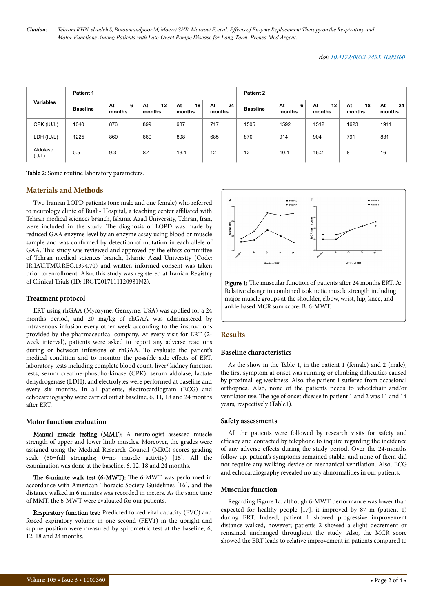*Citation: Tehrani KHN, slzadeh S, Boroomandpoor M, Moezzi SHR, Moosavi F, et al. Effects of Enzyme Replacement Therapy on the Respiratory and Motor Functions Among Patients with Late-Onset Pompe Disease for Long-Term. Prensa Med Argent.*

| <b>Variables</b>  | <b>Patient 1</b> |                   |                    |                    | <b>Patient 2</b>   |                 |                   |                    |                    |                    |
|-------------------|------------------|-------------------|--------------------|--------------------|--------------------|-----------------|-------------------|--------------------|--------------------|--------------------|
|                   | <b>Baseline</b>  | 6<br>At<br>months | 12<br>At<br>months | 18<br>At<br>months | 24<br>At<br>months | <b>Bassline</b> | At<br>6<br>months | 12<br>At<br>months | 18<br>At<br>months | At<br>24<br>months |
| CPK (IU/L)        | 1040             | 876               | 899                | 687                | 717                | 1505            | 1592              | 1512               | 1623               | 1911               |
| LDH (IU/L)        | 1225             | 860               | 660                | 808                | 685                | 870             | 914               | 904                | 791                | 831                |
| Aldolase<br>(U/L) | 0.5              | 9.3               | 8.4                | 13.1               | 12                 | 12              | 10.1              | 15.2               | 8                  | 16                 |

Table 2: Some routine laboratory parameters.

### **Materials and Methods**

Two Iranian LOPD patients (one male and one female) who referred to neurology clinic of Buali- Hospital, a teaching center affiliated with Tehran medical sciences branch, Islamic Azad University, Tehran, Iran, were included in the study. Нe diagnosis of LOPD was made by reduced GAA enzyme level by an enzyme assay using blood or muscle sample and was confirmed by detection of mutation in each allele of GAA. This study was reviewed and approved by the ethics committee of Tehran medical sciences branch, Islamic Azad University (Code: IR.IAU.TMU.REC.1394.70) and written informed consent was taken prior to enrollment. Also, this study was registered at Iranian Registry of Clinical Trials (ID: IRCT2017111120981N2).

#### **Treatment protocol**

ERT using rhGAA (Myozyme, Genzyme, USA) was applied for a 24 months period, and 20 mg/kg of rhGAA was administered by intravenous infusion every other week according to the instructions provided by the pharmaceutical company. At every visit for ERT (2 week interval), patients were asked to report any adverse reactions during or between infusions of rhGAA. To evaluate the patient's medical condition and to monitor the possible side effects of ERT, laboratory tests including complete blood count, liver/ kidney function tests, serum creatine-phospho-kinase (CPK), serum aldolase, lactate dehydrogenase (LDH), and electrolytes were performed at baseline and every six months. In all patients, electrocardiogram (ECG) and echocardiography were carried out at baseline, 6, 11, 18 and 24 months Dіer ERT.

#### **Motor function evaluation**

Manual muscle testing (MMT): A neurologist assessed muscle strength of upper and lower limb muscles. Moreover, the grades were assigned using the Medical Research Council (MRC) scores grading scale (50=full strengths; 0=no muscle activity) [15]. All the examination was done at the baseline, 6, 12, 18 and 24 months.

Нe 6-minute walk test (6-MWT): Нe 6-MWT was performed in accordance with American Thoracic Society Guidelines [16], and the distance walked in 6 minutes was recorded in meters. As the same time of MMT, the 6-MWT were evaluated for our patients.

Respiratory function test: Predicted forced vital capacity (FVC) and forced expiratory volume in one second (FEV1) in the upright and supine position were measured by spirometric test at the baseline, 6, 12, 18 and 24 months.



Figure 1: The muscular function of patients after 24 months ERT. A: Relative change in combined isokinetic muscle strength including major muscle groups at the shoulder, elbow, wrist, hip, knee, and ankle based MCR sum score; B: 6-MWT.

#### **Results**

#### **Baseline characteristics**

As the show in the Table 1, in the patient 1 (female) and 2 (male), the first symptom at onset was running or climbing difficulties caused by proximal leg weakness. Also, the patient 1 suffered from occasional orthopnea. Also, none of the patients needs to wheelchair and/or ventilator use. Нe age of onset disease in patient 1 and 2 was 11 and 14 years, respectively (Table1).

#### **Safety assessments**

All the patients were followed by research visits for safety and efficacy and contacted by telephone to inquire regarding the incidence of any adverse effects during the study period. Over the 24-months follow-up, patient's symptoms remained stable, and none of them did not require any walking device or mechanical ventilation. Also, ECG and echocardiography revealed no any abnormalities in our patients.

#### **Muscular function**

Regarding Figure 1a, although 6-MWT performance was lower than expected for healthy people [17], it improved by 87 m (patient 1) during ERT. Indeed, patient 1 showed progressive improvement distance walked, however; patients 2 showed a slight decrement or remained unchanged throughout the study. Also, the MCR score showed the ERT leads to relative improvement in patients compared to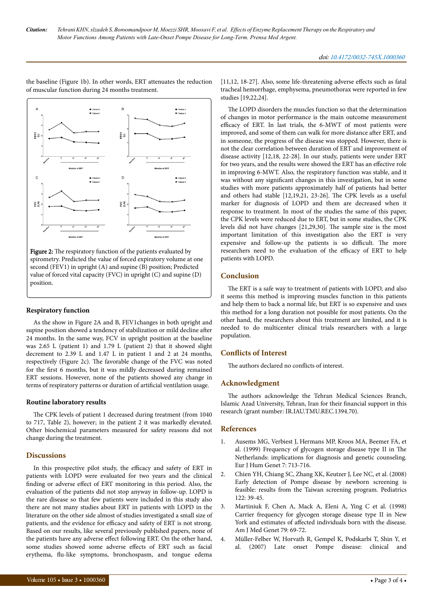řΞ řΞ  $\overline{a}$  $\overline{a}$ PVC<br>US) **PYS** 

the baseline (Figure 1b). In other words, ERT attenuates the reduction

of muscular function during 24 months treatment.

Figure 2: The respiratory function of the patients evaluated by spirometry. Predicted the value of forced expiratory volume at one second (FEV1) in upright (A) and supine (B) position; Predicted value of forced vital capacity (FVC) in upright (C) and supine (D) position.

# **Respiratory function**

As the show in Figure 2A and B, FEV1changes in both upright and supine position showed a tendency of stabilization or mild decline after 24 months. In the same way, FCV in upright position at the baseline was 2.65 L (patient 1) and 1.79 L (patient 2) that it showed slight decrement to 2.39 L and 1.47 L in patient 1 and 2 at 24 months, respectively (Figure 2c). Нe favorable change of the FVC was noted for the first 6 months, but it was mildly decreased during remained ERT sessions. However, none of the patients showed any change in terms of respiratory patterns or duration of artificial ventilation usage.

#### **Routine laboratory results**

The CPK levels of patient 1 decreased during treatment (from 1040 to 717, Table 2), however; in the patient 2 it was markedly elevated. Other biochemical parameters measured for safety reasons did not change during the treatment.

#### **Discussions**

In this prospective pilot study, the efficacy and safety of ERT in patients with LOPD were evaluated for two years and the clinical finding or adverse effect of ERT monitoring in this period. Also, the evaluation of the patients did not stop anyway in follow-up. LOPD is the rare disease so that few patients were included in this study also there are not many studies about ERT in patients with LOPD in the literature on the other side almost of studies investigated a small size of patients, and the evidence for efficacy and safety of ERT is not strong. Based on our results, like several previously published papers, none of the patients have any adverse effect following ERT. On the other hand, some studies showed some adverse effects of ERT such as facial erythema, flu-like symptoms, bronchospasm, and tongue edema

 $[11, 12, 18-27]$ . Also, some life-threatening adverse effects such as fatal tracheal hemorrhage, emphysema, pneumothorax were reported in few studies [19,22,24].

The LOPD disorders the muscles function so that the determination of changes in motor performance is the main outcome measurement efficacy of ERT. In last trials, the 6-MWT of most patients were improved, and some of them can walk for more distance after ERT, and in someone, the progress of the disease was stopped. However, there is not the clear correlation between duration of ERT and improvement of disease activity [12,18, 22-28]. In our study, patients were under ERT for two years, and the results were showed the ERT has an effective role in improving 6-MWT. Also, the respiratory function was stable, and it was without any significant changes in this investigation, but in some studies with more patients approximately half of patients had better and others had stable [12,19,21, 23-26]. Нe CPK levels as a useful marker for diagnosis of LOPD and them are decreased when it response to treatment. In most of the studies the same of this paper, the CPK levels were reduced due to ERT, but in some studies, the CPK levels did not have changes [21,29,30]. Нe sample size is the most important limitation of this investigation also the ERT is very expensive and follow-up the patients is so difficult. The more researchers need to the evaluation of the efficacy of ERT to help patients with LOPD.

# **Conclusion**

The ERT is a safe way to treatment of patients with LOPD, and also it seems this method is improving muscles function in this patients and help them to back a normal life, but ERT is so expensive and uses this method for a long duration not possible for most patients. On the other hand, the researchers about this treatment are limited, and it is needed to do multicenter clinical trials researchers with a large population.

# **Conflicts of Interest**

The authors declared no conflicts of interest.

# **Acknowledgment**

The authors acknowledge the Tehran Medical Sciences Branch, Islamic Azad University, Tehran, Iran for their financial support in this research (grant number: IR.IAU.TMU.REC.1394.70).

### **References**

- 1. Ausems MG, Verbiest J, Hermans MP, Kroos MA, Beemer FA, et al. (1999) Frequency of glycogen storage disease type II in Нe Netherlands: implications for diagnosis and genetic counseling. Eur J Hum Genet 7: 713-716.
- 2. Chien YH, Chiang SC, Zhang XK, Keutzer J, Lee NC, et al. (2008) Early detection of Pompe disease by newborn screening is feasible: results from the Taiwan screening program. Pediatrics 122: 39-45.
- 3. Martiniuk F, Chen A, Mack A, Eleni A, Ying C et al. (1998) Carrier frequency for glycogen storage disease type II in New York and estimates of affected individuals born with the disease. Am J Med Genet 79: 69-72.
- 4. Müller-Felber W, Horvath R, Gempel K, Podskarbi T, Shin Y, et al. (2007) Late onset Pompe disease: clinical and